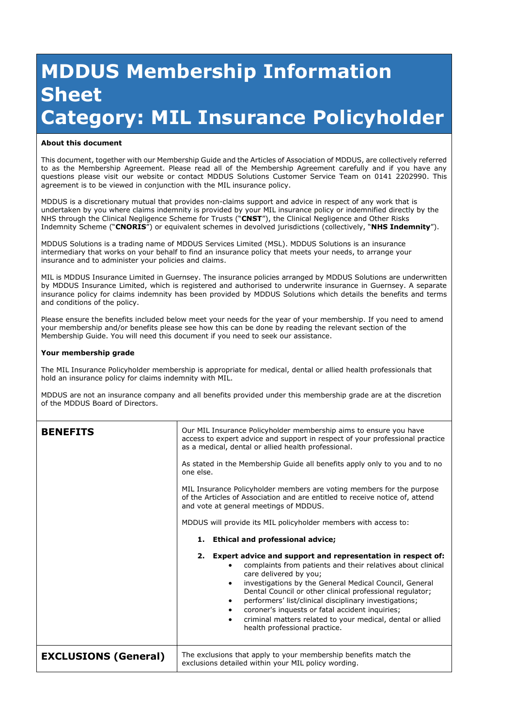## **MDDUS Membership Information Sheet Category: MIL Insurance Policyholder**

## **About this document**

This document, together with our Membership Guide and the Articles of Association of MDDUS, are collectively referred to as the Membership Agreement. Please read all of the Membership Agreement carefully and if you have any questions please visit our website or contact MDDUS Solutions Customer Service Team on 0141 2202990. This agreement is to be viewed in conjunction with the MIL insurance policy.

MDDUS is a discretionary mutual that provides non-claims support and advice in respect of any work that is undertaken by you where claims indemnity is provided by your MIL insurance policy or indemnified directly by the NHS through the Clinical Negligence Scheme for Trusts ("**CNST**"), the Clinical Negligence and Other Risks Indemnity Scheme ("**CNORIS**") or equivalent schemes in devolved jurisdictions (collectively, "**NHS Indemnity**").

MDDUS Solutions is a trading name of MDDUS Services Limited (MSL). MDDUS Solutions is an insurance intermediary that works on your behalf to find an insurance policy that meets your needs, to arrange your insurance and to administer your policies and claims.

MIL is MDDUS Insurance Limited in Guernsey. The insurance policies arranged by MDDUS Solutions are underwritten by MDDUS Insurance Limited, which is registered and authorised to underwrite insurance in Guernsey. A separate insurance policy for claims indemnity has been provided by MDDUS Solutions which details the benefits and terms and conditions of the policy.

Please ensure the benefits included below meet your needs for the year of your membership. If you need to amend your membership and/or benefits please see how this can be done by reading the relevant section of the Membership Guide. You will need this document if you need to seek our assistance.

## **Your membership grade**

The MIL Insurance Policyholder membership is appropriate for medical, dental or allied health professionals that hold an insurance policy for claims indemnity with MIL.

MDDUS are not an insurance company and all benefits provided under this membership grade are at the discretion of the MDDUS Board of Directors.

| <b>BENEFITS</b>             | Our MIL Insurance Policyholder membership aims to ensure you have<br>access to expert advice and support in respect of your professional practice<br>as a medical, dental or allied health professional.<br>As stated in the Membership Guide all benefits apply only to you and to no                                                                                                                                                                                                                                                        |
|-----------------------------|-----------------------------------------------------------------------------------------------------------------------------------------------------------------------------------------------------------------------------------------------------------------------------------------------------------------------------------------------------------------------------------------------------------------------------------------------------------------------------------------------------------------------------------------------|
|                             | one else.<br>MIL Insurance Policyholder members are voting members for the purpose<br>of the Articles of Association and are entitled to receive notice of, attend<br>and vote at general meetings of MDDUS.                                                                                                                                                                                                                                                                                                                                  |
|                             | MDDUS will provide its MIL policyholder members with access to:<br>1. Ethical and professional advice;                                                                                                                                                                                                                                                                                                                                                                                                                                        |
|                             | 2. Expert advice and support and representation in respect of:<br>complaints from patients and their relatives about clinical<br>care delivered by you;<br>investigations by the General Medical Council, General<br>$\bullet$<br>Dental Council or other clinical professional regulator;<br>performers' list/clinical disciplinary investigations;<br>$\bullet$<br>coroner's inquests or fatal accident inquiries;<br>$\bullet$<br>criminal matters related to your medical, dental or allied<br>$\bullet$<br>health professional practice. |
| <b>EXCLUSIONS (General)</b> | The exclusions that apply to your membership benefits match the<br>exclusions detailed within your MIL policy wording.                                                                                                                                                                                                                                                                                                                                                                                                                        |